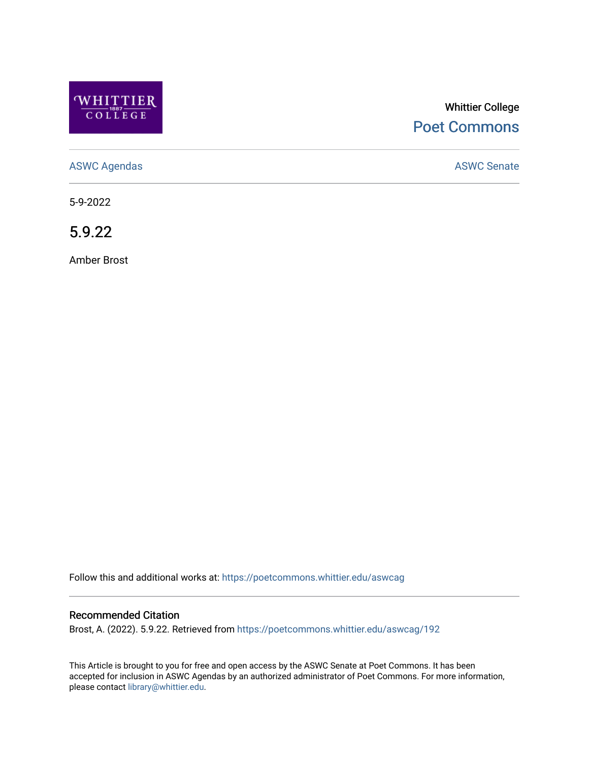

# Whittier College [Poet Commons](https://poetcommons.whittier.edu/)

[ASWC Agendas](https://poetcommons.whittier.edu/aswcag) **ASWC Senate** 

5-9-2022

5.9.22

Amber Brost

Follow this and additional works at: [https://poetcommons.whittier.edu/aswcag](https://poetcommons.whittier.edu/aswcag?utm_source=poetcommons.whittier.edu%2Faswcag%2F192&utm_medium=PDF&utm_campaign=PDFCoverPages) 

## Recommended Citation

Brost, A. (2022). 5.9.22. Retrieved from [https://poetcommons.whittier.edu/aswcag/192](https://poetcommons.whittier.edu/aswcag/192?utm_source=poetcommons.whittier.edu%2Faswcag%2F192&utm_medium=PDF&utm_campaign=PDFCoverPages)

This Article is brought to you for free and open access by the ASWC Senate at Poet Commons. It has been accepted for inclusion in ASWC Agendas by an authorized administrator of Poet Commons. For more information, please contact [library@whittier.edu](mailto:library@whittier.edu).